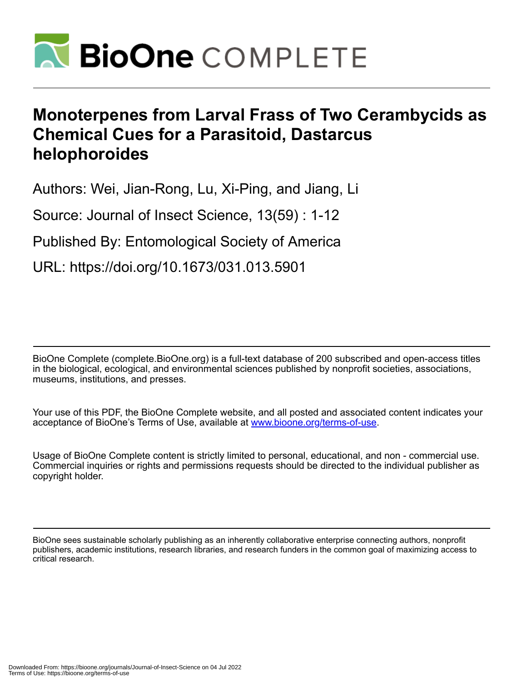

# **Monoterpenes from Larval Frass of Two Cerambycids as Chemical Cues for a Parasitoid, Dastarcus helophoroides**

Authors: Wei, Jian-Rong, Lu, Xi-Ping, and Jiang, Li

Source: Journal of Insect Science, 13(59) : 1-12

Published By: Entomological Society of America

URL: https://doi.org/10.1673/031.013.5901

BioOne Complete (complete.BioOne.org) is a full-text database of 200 subscribed and open-access titles in the biological, ecological, and environmental sciences published by nonprofit societies, associations, museums, institutions, and presses.

Your use of this PDF, the BioOne Complete website, and all posted and associated content indicates your acceptance of BioOne's Terms of Use, available at www.bioone.org/terms-of-use.

Usage of BioOne Complete content is strictly limited to personal, educational, and non - commercial use. Commercial inquiries or rights and permissions requests should be directed to the individual publisher as copyright holder.

BioOne sees sustainable scholarly publishing as an inherently collaborative enterprise connecting authors, nonprofit publishers, academic institutions, research libraries, and research funders in the common goal of maximizing access to critical research.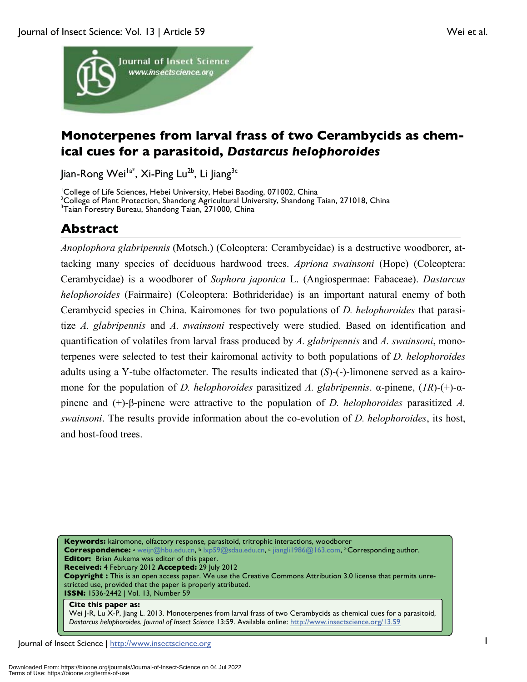

# **Monoterpenes from larval frass of two Cerambycids as chemical cues for a parasitoid,** *Dastarcus helophoroides*

Jian-Rong Wei<sup>la\*</sup>, Xi-Ping Lu<sup>2b</sup>, Li Jiang<sup>3c</sup>

<sup>1</sup>College of Life Sciences, Hebei University, Hebei Baoding, 071002, China <sup>2</sup>College of Plant Protection, Shandong Agricultural University, Shandong Taian, 271018, China<br><sup>3</sup>Taian Eorestry Burgau, Shandong Taian, 271000, China <sup>3</sup>Taian Forestry Bureau, Shandong Taian, 271000, China

# **Abstract**

*Anoplophora glabripennis* (Motsch.) (Coleoptera: Cerambycidae) is a destructive woodborer, attacking many species of deciduous hardwood trees. *Apriona swainsoni* (Hope) (Coleoptera: Cerambycidae) is a woodborer of *Sophora japonica* L. (Angiospermae: Fabaceae). *Dastarcus helophoroides* (Fairmaire) (Coleoptera: Bothrideridae) is an important natural enemy of both Cerambycid species in China. Kairomones for two populations of *D. helophoroides* that parasitize *A. glabripennis* and *A. swainsoni* respectively were studied. Based on identification and quantification of volatiles from larval frass produced by *A. glabripennis* and *A. swainsoni*, monoterpenes were selected to test their kairomonal activity to both populations of *D. helophoroides* adults using a Y-tube olfactometer. The results indicated that (*S*)-(-)-limonene served as a kairomone for the population of *D. helophoroides* parasitized *A. glabripennis*. α-pinene, (*1R*)-(+)-αpinene and (+)-β-pinene were attractive to the population of *D. helophoroides* parasitized *A. swainsoni*. The results provide information about the co-evolution of *D. helophoroides*, its host, and host-food trees.

**Keywords:** kairomone, olfactory response, parasitoid, tritrophic interactions, woodborer **Correspondence:** <sup>a</sup> weijr@hbu.edu.cn, b lxp59@sdau.edu.cn, c jiangli1986@163.com, \*Corresponding author. **Editor:** Brian Aukema was editor of this paper. **Received:** 4 February 2012 **Accepted:** 29 July 2012 **Copyright :** This is an open access paper. We use the Creative Commons Attribution 3.0 license that permits unrestricted use, provided that the paper is properly attributed. **ISSN:** 1536-2442 | Vol. 13, Number 59 **Cite this paper as:**

Wei J-R, Lu X-P, Jiang L. 2013. Monoterpenes from larval frass of two Cerambycids as chemical cues for a parasitoid, *Dastarcus helophoroides. Journal of Insect Science* 13:59. Available online: http://www.insectscience.org/13.59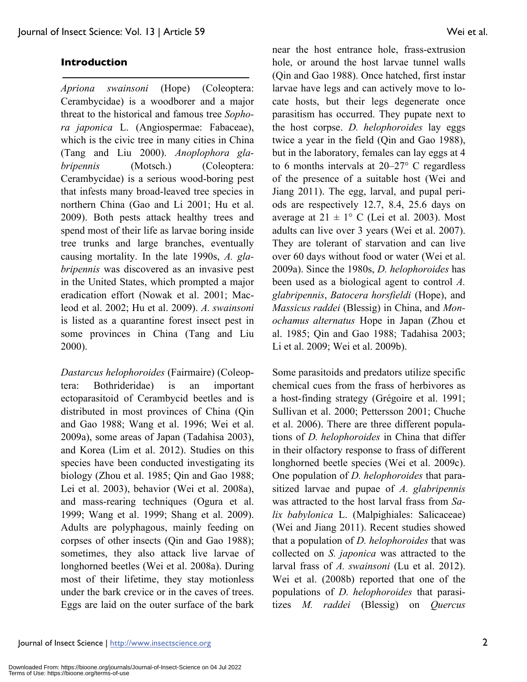# **Introduction**

*Apriona swainsoni* (Hope) (Coleoptera: Cerambycidae) is a woodborer and a major threat to the historical and famous tree *Sophora japonica* L. (Angiospermae: Fabaceae), which is the civic tree in many cities in China (Tang and Liu 2000). *Anoplophora glabripennis* (Motsch.) (Coleoptera: Cerambycidae) is a serious wood-boring pest that infests many broad-leaved tree species in northern China (Gao and Li 2001; Hu et al. 2009). Both pests attack healthy trees and spend most of their life as larvae boring inside tree trunks and large branches, eventually causing mortality. In the late 1990s, *A. glabripennis* was discovered as an invasive pest in the United States, which prompted a major eradication effort (Nowak et al. 2001; Macleod et al. 2002; Hu et al. 2009). *A. swainsoni* is listed as a quarantine forest insect pest in some provinces in China (Tang and Liu 2000).

*Dastarcus helophoroides* (Fairmaire) (Coleoptera: Bothrideridae) is an important ectoparasitoid of Cerambycid beetles and is distributed in most provinces of China (Qin and Gao 1988; Wang et al. 1996; Wei et al. 2009a), some areas of Japan (Tadahisa 2003), and Korea (Lim et al. 2012). Studies on this species have been conducted investigating its biology (Zhou et al. 1985; Qin and Gao 1988; Lei et al. 2003), behavior (Wei et al. 2008a), and mass-rearing techniques (Ogura et al. 1999; Wang et al. 1999; Shang et al. 2009). Adults are polyphagous, mainly feeding on corpses of other insects (Qin and Gao 1988); sometimes, they also attack live larvae of longhorned beetles (Wei et al. 2008a). During most of their lifetime, they stay motionless under the bark crevice or in the caves of trees. Eggs are laid on the outer surface of the bark

near the host entrance hole, frass-extrusion hole, or around the host larvae tunnel walls (Qin and Gao 1988). Once hatched, first instar larvae have legs and can actively move to locate hosts, but their legs degenerate once parasitism has occurred. They pupate next to the host corpse. *D. helophoroides* lay eggs twice a year in the field (Qin and Gao 1988), but in the laboratory, females can lay eggs at 4 to 6 months intervals at 20–27° C regardless of the presence of a suitable host (Wei and Jiang 2011). The egg, larval, and pupal periods are respectively 12.7, 8.4, 25.6 days on average at  $21 \pm 1^{\circ}$  C (Lei et al. 2003). Most adults can live over 3 years (Wei et al. 2007). They are tolerant of starvation and can live over 60 days without food or water (Wei et al. 2009a). Since the 1980s, *D. helophoroides* has been used as a biological agent to control *A. glabripennis*, *Batocera horsfieldi* (Hope), and *Massicus raddei* (Blessig) in China, and *Monochamus alternatus* Hope in Japan (Zhou et al. 1985; Qin and Gao 1988; Tadahisa 2003; Li et al. 2009; Wei et al. 2009b).

Some parasitoids and predators utilize specific chemical cues from the frass of herbivores as a host-finding strategy (Grégoire et al. 1991; Sullivan et al. 2000; Pettersson 2001; Chuche et al. 2006). There are three different populations of *D. helophoroides* in China that differ in their olfactory response to frass of different longhorned beetle species (Wei et al. 2009c). One population of *D. helophoroides* that parasitized larvae and pupae of *A. glabripennis* was attracted to the host larval frass from *Salix babylonica* L. (Malpighiales: Salicaceae) (Wei and Jiang 2011). Recent studies showed that a population of *D. helophoroides* that was collected on *S. japonica* was attracted to the larval frass of *A. swainsoni* (Lu et al. 2012). Wei et al. (2008b) reported that one of the populations of *D. helophoroides* that parasitizes *M. raddei* (Blessig) on *Quercus*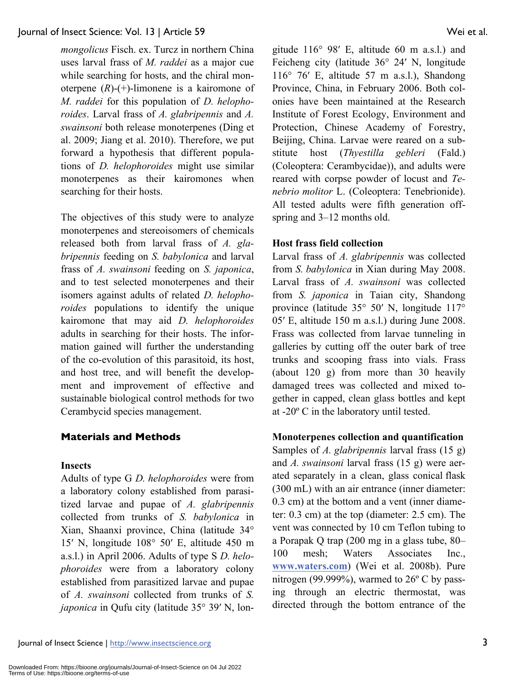*mongolicus* Fisch. ex. Turcz in northern China uses larval frass of *M. raddei* as a major cue while searching for hosts, and the chiral monoterpene (*R*)-(+)-limonene is a kairomone of *M. raddei* for this population of *D. helophoroides*. Larval frass of *A. glabripennis* and *A. swainsoni* both release monoterpenes (Ding et al. 2009; Jiang et al. 2010). Therefore, we put forward a hypothesis that different populations of *D. helophoroides* might use similar monoterpenes as their kairomones when searching for their hosts.

The objectives of this study were to analyze monoterpenes and stereoisomers of chemicals released both from larval frass of *A. glabripennis* feeding on *S. babylonica* and larval frass of *A. swainsoni* feeding on *S. japonica*, and to test selected monoterpenes and their isomers against adults of related *D. helophoroides* populations to identify the unique kairomone that may aid *D. helophoroides* adults in searching for their hosts. The information gained will further the understanding of the co-evolution of this parasitoid, its host, and host tree, and will benefit the development and improvement of effective and sustainable biological control methods for two Cerambycid species management.

# **Materials and Methods**

#### **Insects**

Adults of type G *D. helophoroides* were from a laboratory colony established from parasitized larvae and pupae of *A. glabripennis* collected from trunks of *S. babylonica* in Xian, Shaanxi province, China (latitude 34° 15′ N, longitude 108° 50′ E, altitude 450 m a.s.l.) in April 2006. Adults of type S *D. helophoroides* were from a laboratory colony established from parasitized larvae and pupae of *A. swainsoni* collected from trunks of *S. japonica* in Qufu city (latitude 35° 39' N, longitude 116° 98′ E, altitude 60 m a.s.l.) and Feicheng city (latitude 36° 24′ N, longitude 116° 76′ E, altitude 57 m a.s.l.), Shandong Province, China, in February 2006. Both colonies have been maintained at the Research Institute of Forest Ecology, Environment and Protection, Chinese Academy of Forestry, Beijing, China. Larvae were reared on a substitute host (*Thyestilla gebleri* (Fald.) (Coleoptera: Cerambycidae)), and adults were reared with corpse powder of locust and *Tenebrio molitor* L. (Coleoptera: Tenebrionide). All tested adults were fifth generation offspring and 3–12 months old.

#### **Host frass field collection**

Larval frass of *A. glabripennis* was collected from *S. babylonica* in Xian during May 2008. Larval frass of *A. swainsoni* was collected from *S. japonica* in Taian city, Shandong province (latitude 35° 50′ N, longitude 117° 05′ E, altitude 150 m a.s.l.) during June 2008. Frass was collected from larvae tunneling in galleries by cutting off the outer bark of tree trunks and scooping frass into vials. Frass (about 120 g) from more than 30 heavily damaged trees was collected and mixed together in capped, clean glass bottles and kept at -20º C in the laboratory until tested.

# **Monoterpenes collection and quantification**

Samples of *A. glabripennis* larval frass (15 g) and *A. swainsoni* larval frass (15 g) were aerated separately in a clean, glass conical flask (300 mL) with an air entrance (inner diameter: 0.3 cm) at the bottom and a vent (inner diameter: 0.3 cm) at the top (diameter: 2.5 cm). The vent was connected by 10 cm Teflon tubing to a Porapak Q trap (200 mg in a glass tube, 80– 100 mesh; Waters Associates Inc., **www.waters.com**) (Wei et al. 2008b). Pure nitrogen (99.999%), warmed to 26º C by passing through an electric thermostat, was directed through the bottom entrance of the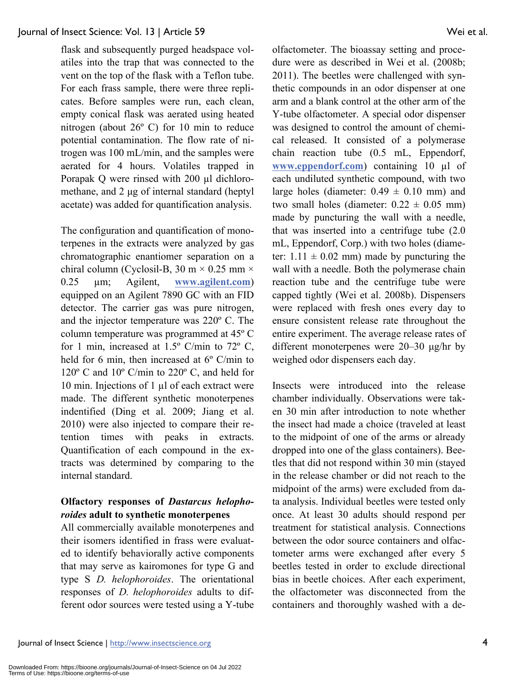flask and subsequently purged headspace volatiles into the trap that was connected to the vent on the top of the flask with a Teflon tube. For each frass sample, there were three replicates. Before samples were run, each clean, empty conical flask was aerated using heated nitrogen (about 26º C) for 10 min to reduce potential contamination. The flow rate of nitrogen was 100 mL/min, and the samples were aerated for 4 hours. Volatiles trapped in Porapak Q were rinsed with 200 µl dichloromethane, and 2 μg of internal standard (heptyl acetate) was added for quantification analysis.

The configuration and quantification of monoterpenes in the extracts were analyzed by gas chromatographic enantiomer separation on a chiral column (Cyclosil-B, 30 m  $\times$  0.25 mm  $\times$ 0.25 µm; Agilent, **www.agilent.com**) equipped on an Agilent 7890 GC with an FID detector. The carrier gas was pure nitrogen, and the injector temperature was 220º C. The column temperature was programmed at 45º C for 1 min, increased at  $1.5^{\circ}$  C/min to  $72^{\circ}$  C, held for 6 min, then increased at 6º C/min to 120º C and 10º C/min to 220º C, and held for 10 min. Injections of 1 µl of each extract were made. The different synthetic monoterpenes indentified (Ding et al. 2009; Jiang et al. 2010) were also injected to compare their retention times with peaks in extracts. Quantification of each compound in the extracts was determined by comparing to the internal standard.

# **Olfactory responses of** *Dastarcus helophoroides* **adult to synthetic monoterpenes**

All commercially available monoterpenes and their isomers identified in frass were evaluated to identify behaviorally active components that may serve as kairomones for type G and type S *D. helophoroides*. The orientational responses of *D. helophoroides* adults to different odor sources were tested using a Y-tube olfactometer. The bioassay setting and procedure were as described in Wei et al. (2008b; 2011). The beetles were challenged with synthetic compounds in an odor dispenser at one arm and a blank control at the other arm of the Y-tube olfactometer. A special odor dispenser was designed to control the amount of chemical released. It consisted of a polymerase chain reaction tube (0.5 mL, Eppendorf, **www.eppendorf.com**) containing 10 µl of each undiluted synthetic compound, with two large holes (diameter:  $0.49 \pm 0.10$  mm) and two small holes (diameter:  $0.22 \pm 0.05$  mm) made by puncturing the wall with a needle, that was inserted into a centrifuge tube (2.0 mL, Eppendorf, Corp.) with two holes (diameter:  $1.11 \pm 0.02$  mm) made by puncturing the wall with a needle. Both the polymerase chain reaction tube and the centrifuge tube were capped tightly (Wei et al. 2008b). Dispensers were replaced with fresh ones every day to ensure consistent release rate throughout the entire experiment. The average release rates of different monoterpenes were 20–30 μg/hr by weighed odor dispensers each day.

Insects were introduced into the release chamber individually. Observations were taken 30 min after introduction to note whether the insect had made a choice (traveled at least to the midpoint of one of the arms or already dropped into one of the glass containers). Beetles that did not respond within 30 min (stayed in the release chamber or did not reach to the midpoint of the arms) were excluded from data analysis. Individual beetles were tested only once. At least 30 adults should respond per treatment for statistical analysis. Connections between the odor source containers and olfactometer arms were exchanged after every 5 beetles tested in order to exclude directional bias in beetle choices. After each experiment, the olfactometer was disconnected from the containers and thoroughly washed with a de-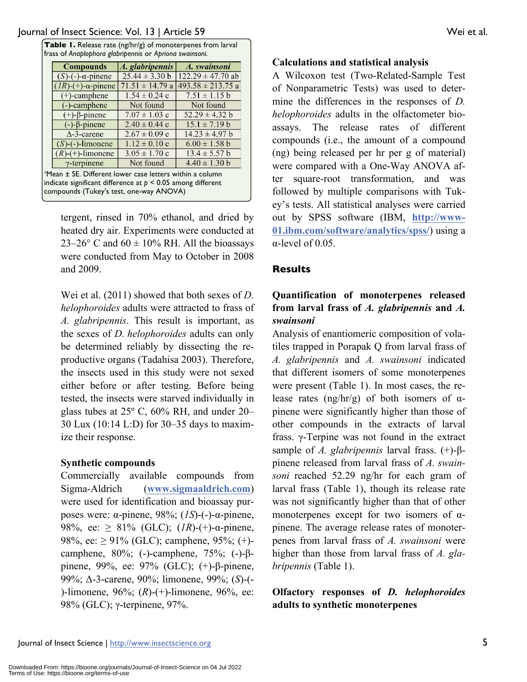| <b>Compounds</b>                 | A. glabripennis     | A. swainsoni          |
|----------------------------------|---------------------|-----------------------|
| $(S)$ - $(-)$ - $\alpha$ -pinene | $25.44 \pm 3.30$ b  | $122.29 \pm 47.70$ ab |
| $(IR)-(+)$ - $\alpha$ -pinene    | $71.51 \pm 14.79$ a | $493.58 \pm 213.75$ a |
| $(+)$ -camphene                  | $1.54 \pm 0.24$ c   | $7.51 \pm 1.15$ b     |
| (-)-camphene                     | Not found           | Not found             |
| $(+)$ - $\beta$ -pinene          | $7.07 \pm 1.03$ c   | $52.29 \pm 4.32 b$    |
| $(-)-\beta$ -pinene              | $2.40 \pm 0.44$ c   | $15.1 \pm 7.19 b$     |
| $\Delta$ -3-carene               | $2.67 \pm 0.09$ c   | $14.23 \pm 4.97 b$    |
| $(S)$ - $(-)$ -limonene          | $1.12 \pm 0.10$ c   | $6.00 \pm 1.58$ b     |
| $(R)-(+)$ -limonene              | $3.05 \pm 1.70$ c   | $13.4 \pm 5.57 b$     |
| $\gamma$ -terpinene              | Not found           | $4.40 \pm 1.30$ b     |

tergent, rinsed in 70% ethanol, and dried by heated dry air. Experiments were conducted at 23–26 $\degree$  C and 60  $\pm$  10% RH. All the bioassays were conducted from May to October in 2008 and 2009.

Wei et al. (2011) showed that both sexes of *D. helophoroides* adults were attracted to frass of *A. glabripennis*. This result is important, as the sexes of *D. helophoroides* adults can only be determined reliably by dissecting the reproductive organs (Tadahisa 2003). Therefore, the insects used in this study were not sexed either before or after testing. Before being tested, the insects were starved individually in glass tubes at 25º C, 60% RH, and under 20– 30 Lux (10:14 L:D) for 30–35 days to maximize their response.

#### **Synthetic compounds**

Commercially available compounds from Sigma-Aldrich (**www.sigmaaldrich.com**) were used for identification and bioassay purposes were: α-pinene, 98%; (*1S*)-(-)-α-pinene, 98%, ee:  $\geq 81\%$  (GLC); (*IR*)-(+)-α-pinene, 98%, ee:  $\geq$  91% (GLC); camphene, 95%; (+)camphene, 80%; (-)-camphene, 75%; (-)-βpinene, 99%, ee: 97% (GLC); (+)-β-pinene, 99%; Δ-3-carene, 90%; limonene, 99%; (*S*)-(- )-limonene, 96%; (*R*)-(+)-limonene, 96%, ee: 98% (GLC); γ-terpinene, 97%.

### **Calculations and statistical analysis**

A Wilcoxon test (Two-Related-Sample Test of Nonparametric Tests) was used to determine the differences in the responses of *D. helophoroides* adults in the olfactometer bioassays. The release rates of different compounds (i.e., the amount of a compound (ng) being released per hr per g of material) were compared with a One-Way ANOVA after square-root transformation, and was followed by multiple comparisons with Tukey's tests. All statistical analyses were carried out by SPSS software (IBM, **http://www-01.ibm.com/software/analytics/spss/**) using a α-level of 0.05.

# **Results**

# **Quantification of monoterpenes released from larval frass of** *A. glabripennis* **and** *A. swainsoni*

Analysis of enantiomeric composition of volatiles trapped in Porapak Q from larval frass of *A. glabripennis* and *A. swainsoni* indicated that different isomers of some monoterpenes were present (Table 1). In most cases, the release rates (ng/hr/g) of both isomers of αpinene were significantly higher than those of other compounds in the extracts of larval frass. γ-Terpine was not found in the extract sample of *A. glabripennis* larval frass. (+)-βpinene released from larval frass of *A. swainsoni* reached 52.29 ng/hr for each gram of larval frass (Table 1), though its release rate was not significantly higher than that of other monoterpenes except for two isomers of  $\alpha$ pinene. The average release rates of monoterpenes from larval frass of *A. swainsoni* were higher than those from larval frass of *A. glabripennis* (Table 1).

# **Olfactory responses of** *D. helophoroides* **adults to synthetic monoterpenes**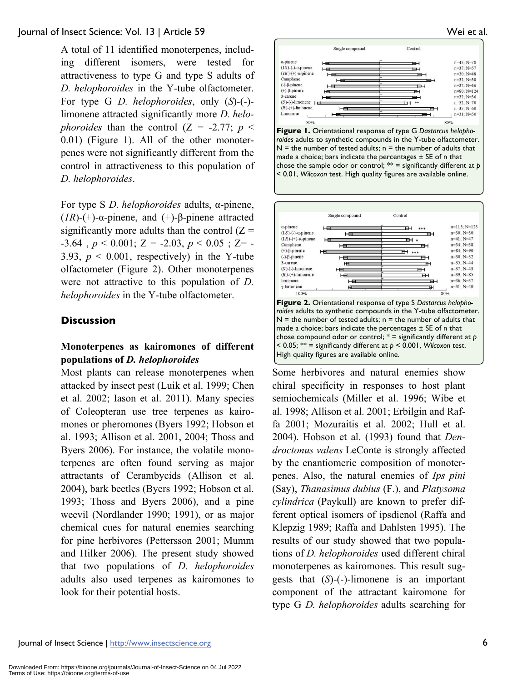A total of 11 identified monoterpenes, including different isomers, were tested for attractiveness to type G and type S adults of *D. helophoroides* in the Y-tube olfactometer. For type G *D. helophoroides*, only (*S*)-(-) limonene attracted significantly more *D. helophoroides* than the control  $(Z = -2.77; p <$ 0.01) (Figure 1). All of the other monoterpenes were not significantly different from the control in attractiveness to this population of *D. helophoroides*.

For type S *D. helophoroides* adults, α-pinene, ( $IR$ )-(+)- $\alpha$ -pinene, and (+)- $\beta$ -pinene attracted significantly more adults than the control  $(Z =$  $-3.64$ ,  $p < 0.001$ ;  $Z = -2.03$ ,  $p < 0.05$ ;  $Z = -2.03$ 3.93,  $p \le 0.001$ , respectively) in the Y-tube olfactometer (Figure 2). Other monoterpenes were not attractive to this population of *D. helophoroides* in the Y-tube olfactometer.

# **Discussion**

# **Monoterpenes as kairomones of different populations of** *D. helophoroides*

Most plants can release monoterpenes when attacked by insect pest (Luik et al. 1999; Chen et al. 2002; Iason et al. 2011). Many species of Coleopteran use tree terpenes as kairomones or pheromones (Byers 1992; Hobson et al. 1993; Allison et al. 2001, 2004; Thoss and Byers 2006). For instance, the volatile monoterpenes are often found serving as major attractants of Cerambycids (Allison et al. 2004), bark beetles (Byers 1992; Hobson et al. 1993; Thoss and Byers 2006), and a pine weevil (Nordlander 1990; 1991), or as major chemical cues for natural enemies searching for pine herbivores (Pettersson 2001; Mumm and Hilker 2006). The present study showed that two populations of *D. helophoroides* adults also used terpenes as kairomones to look for their potential hosts.



**Figure 1.** Orientational response of type G *Dastarcus helophoroides* adults to synthetic compounds in the Y-tube olfactometer.  $N =$  the number of tested adults;  $n =$  the number of adults that made a choice; bars indicate the percentages  $\pm$  SE of n that chose the sample odor or control; \*\* = significantly different at *p*  < 0.01, *Wilcoxon* test. High quality figures are available online.



Some herbivores and natural enemies show chiral specificity in responses to host plant semiochemicals (Miller et al. 1996; Wibe et al. 1998; Allison et al. 2001; Erbilgin and Raffa 2001; Mozuraitis et al. 2002; Hull et al. 2004). Hobson et al. (1993) found that *Dendroctonus valens* LeConte is strongly affected by the enantiomeric composition of monoterpenes. Also, the natural enemies of *Ips pini*  (Say), *Thanasimus dubius* (F.), and *Platysoma cylindrica* (Paykull) are known to prefer different optical isomers of ipsdienol (Raffa and Klepzig 1989; Raffa and Dahlsten 1995). The results of our study showed that two populations of *D. helophoroides* used different chiral monoterpenes as kairomones. This result suggests that (*S*)-(-)-limonene is an important component of the attractant kairomone for type G *D. helophoroides* adults searching for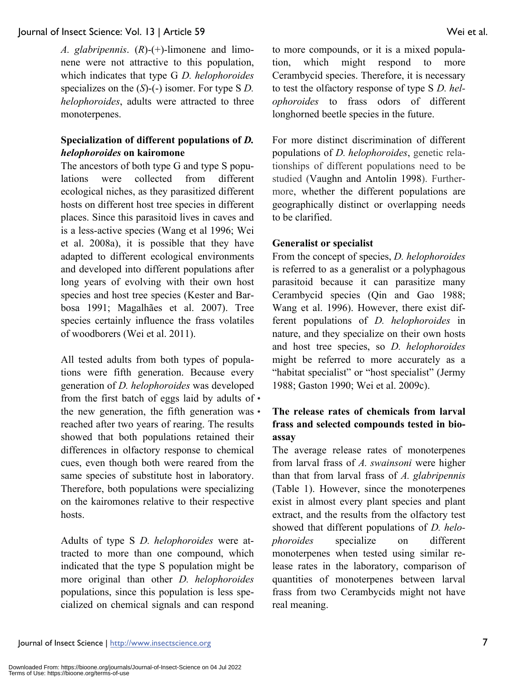*A. glabripennis*. (*R*)-(+)-limonene and limonene were not attractive to this population, which indicates that type G *D. helophoroides*  specializes on the  $(S)$ -(-) isomer. For type S *D*. *helophoroides*, adults were attracted to three monoterpenes.

# **Specialization of different populations of** *D. helophoroides* **on kairomone**

The ancestors of both type G and type S populations were collected from different ecological niches, as they parasitized different hosts on different host tree species in different places. Since this parasitoid lives in caves and is a less-active species (Wang et al 1996; Wei et al. 2008a), it is possible that they have adapted to different ecological environments and developed into different populations after long years of evolving with their own host species and host tree species (Kester and Barbosa 1991; Magalhães et al. 2007). Tree species certainly influence the frass volatiles of woodborers (Wei et al. 2011).

All tested adults from both types of populations were fifth generation. Because every generation of *D. helophoroides* was developed from the first batch of eggs laid by adults of • the new generation, the fifth generation was  $\cdot$ reached after two years of rearing. The results showed that both populations retained their differences in olfactory response to chemical cues, even though both were reared from the same species of substitute host in laboratory. Therefore, both populations were specializing on the kairomones relative to their respective hosts.

Adults of type S *D. helophoroides* were attracted to more than one compound, which indicated that the type S population might be more original than other *D. helophoroides* populations, since this population is less specialized on chemical signals and can respond to more compounds, or it is a mixed population, which might respond to more Cerambycid species. Therefore, it is necessary to test the olfactory response of type S *D. helophoroides* to frass odors of different longhorned beetle species in the future.

For more distinct discrimination of different populations of *D. helophoroides*, genetic relationships of different populations need to be studied (Vaughn and Antolin 1998). Furthermore, whether the different populations are geographically distinct or overlapping needs to be clarified.

#### **Generalist or specialist**

From the concept of species, *D. helophoroides* is referred to as a generalist or a polyphagous parasitoid because it can parasitize many Cerambycid species (Qin and Gao 1988; Wang et al. 1996). However, there exist different populations of *D. helophoroides* in nature, and they specialize on their own hosts and host tree species, so *D. helophoroides* might be referred to more accurately as a "habitat specialist" or "host specialist" (Jermy 1988; Gaston 1990; Wei et al. 2009c).

# • **The release rates of chemicals from larval frass and selected compounds tested in bioassay**

The average release rates of monoterpenes from larval frass of *A. swainsoni* were higher than that from larval frass of *A. glabripennis*  (Table 1). However, since the monoterpenes exist in almost every plant species and plant extract, and the results from the olfactory test showed that different populations of *D. helophoroides* specialize on different monoterpenes when tested using similar release rates in the laboratory, comparison of quantities of monoterpenes between larval frass from two Cerambycids might not have real meaning.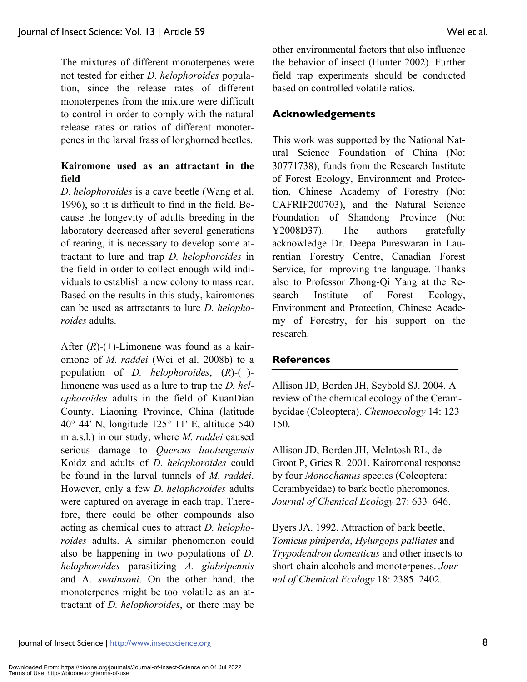The mixtures of different monoterpenes were not tested for either *D. helophoroides* population, since the release rates of different monoterpenes from the mixture were difficult to control in order to comply with the natural release rates or ratios of different monoterpenes in the larval frass of longhorned beetles.

# **Kairomone used as an attractant in the field**

*D. helophoroides* is a cave beetle (Wang et al. 1996), so it is difficult to find in the field. Because the longevity of adults breeding in the laboratory decreased after several generations of rearing, it is necessary to develop some attractant to lure and trap *D. helophoroides* in the field in order to collect enough wild individuals to establish a new colony to mass rear. Based on the results in this study, kairomones can be used as attractants to lure *D. helophoroides* adults.

After (*R*)-(+)-Limonene was found as a kairomone of *M. raddei* (Wei et al. 2008b) to a population of *D. helophoroides*, (*R*)-(+) limonene was used as a lure to trap the *D. helophoroides* adults in the field of KuanDian County, Liaoning Province, China (latitude 40° 44′ N, longitude 125° 11′ E, altitude 540 m a.s.l.) in our study, where *M. raddei* caused serious damage to *Quercus liaotungensis* Koidz and adults of *D. helophoroides* could be found in the larval tunnels of *M. raddei*. However, only a few *D. helophoroides* adults were captured on average in each trap. Therefore, there could be other compounds also acting as chemical cues to attract *D. helophoroides* adults. A similar phenomenon could also be happening in two populations of *D. helophoroides* parasitizing *A. glabripennis* and A. *swainsoni*. On the other hand, the monoterpenes might be too volatile as an attractant of *D. helophoroides*, or there may be

other environmental factors that also influence the behavior of insect (Hunter 2002). Further field trap experiments should be conducted based on controlled volatile ratios.

# **Acknowledgements**

This work was supported by the National Natural Science Foundation of China (No: 30771738), funds from the Research Institute of Forest Ecology, Environment and Protection, Chinese Academy of Forestry (No: CAFRIF200703), and the Natural Science Foundation of Shandong Province (No: Y2008D37). The authors gratefully acknowledge Dr. Deepa Pureswaran in Laurentian Forestry Centre, Canadian Forest Service, for improving the language. Thanks also to Professor Zhong-Qi Yang at the Research Institute of Forest Ecology, Environment and Protection, Chinese Academy of Forestry, for his support on the research.

# **References**

Allison JD, Borden JH, Seybold SJ. 2004. A review of the chemical ecology of the Cerambycidae (Coleoptera). *Chemoecology* 14: 123– 150.

Allison JD, Borden JH, McIntosh RL, de Groot P, Gries R. 2001. Kairomonal response by four *Monochamus* species (Coleoptera: Cerambycidae) to bark beetle pheromones. *Journal of Chemical Ecology* 27: 633–646.

Byers JA. 1992. Attraction of bark beetle, *Tomicus piniperda*, *Hylurgops palliates* and *Trypodendron domesticus* and other insects to short-chain alcohols and monoterpenes. *Journal of Chemical Ecology* 18: 2385–2402.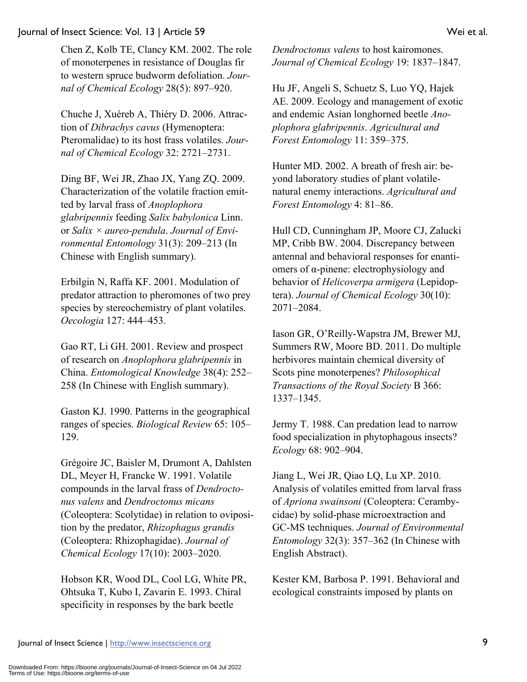Chen Z, Kolb TE, Clancy KM. 2002. The role of monoterpenes in resistance of Douglas fir to western spruce budworm defoliation. *Journal of Chemical Ecology* 28(5): 897–920.

Chuche J, Xuéreb A, Thiéry D. 2006. Attraction of *Dibrachys cavus* (Hymenoptera: Pteromalidae) to its host frass volatiles. *Journal of Chemical Ecology* 32: 2721–2731.

Ding BF, Wei JR, Zhao JX, Yang ZQ. 2009. Characterization of the volatile fraction emitted by larval frass of *Anoplophora glabripennis* feeding *Salix babylonica* Linn. or *Salix × aureo-pendula*. *Journal of Environmental Entomology* 31(3): 209–213 (In Chinese with English summary).

Erbilgin N, Raffa KF. 2001. Modulation of predator attraction to pheromones of two prey species by stereochemistry of plant volatiles. *Oecologia* 127: 444–453.

Gao RT, Li GH. 2001. Review and prospect of research on *Anoplophora glabripennis* in China. *Entomological Knowledge* 38(4): 252– 258 (In Chinese with English summary).

Gaston KJ. 1990. Patterns in the geographical ranges of species. *Biological Review* 65: 105– 129.

Grégoire JC, Baisler M, Drumont A, Dahlsten DL, Meyer H, Francke W. 1991. Volatile compounds in the larval frass of *Dendroctonus valens* and *Dendroctonus micans* (Coleoptera: Scolytidae) in relation to oviposition by the predator, *Rhizophagus grandis* (Coleoptera: Rhizophagidae). *Journal of Chemical Ecology* 17(10): 2003–2020.

Hobson KR, Wood DL, Cool LG, White PR, Ohtsuka T, Kubo I, Zavarin E. 1993. Chiral specificity in responses by the bark beetle

*Dendroctonus valens* to host kairomones. *Journal of Chemical Ecology* 19: 1837–1847.

Hu JF, Angeli S, Schuetz S, Luo YQ, Hajek AE. 2009. Ecology and management of exotic and endemic Asian longhorned beetle *Anoplophora glabripennis*. *Agricultural and Forest Entomology* 11: 359–375.

Hunter MD. 2002. A breath of fresh air: beyond laboratory studies of plant volatilenatural enemy interactions. *Agricultural and Forest Entomology* 4: 81–86.

Hull CD, Cunningham JP, Moore CJ, Zalucki MP, Cribb BW. 2004. Discrepancy between antennal and behavioral responses for enantiomers of α-pinene: electrophysiology and behavior of *Helicoverpa armigera* (Lepidoptera). *Journal of Chemical Ecology* 30(10): 2071–2084.

Iason GR, O'Reilly-Wapstra JM, Brewer MJ, Summers RW, Moore BD. 2011. Do multiple herbivores maintain chemical diversity of Scots pine monoterpenes? *Philosophical Transactions of the Royal Society* B 366: 1337–1345.

Jermy T. 1988. Can predation lead to narrow food specialization in phytophagous insects? *Ecology* 68: 902–904.

Jiang L, Wei JR, Qiao LQ, Lu XP. 2010. Analysis of volatiles emitted from larval frass of *Apriona swainsoni* (Coleoptera: Cerambycidae) by solid-phase microextraction and GC-MS techniques. *Journal of Environmental Entomology* 32(3): 357–362 (In Chinese with English Abstract).

Kester KM, Barbosa P. 1991. Behavioral and ecological constraints imposed by plants on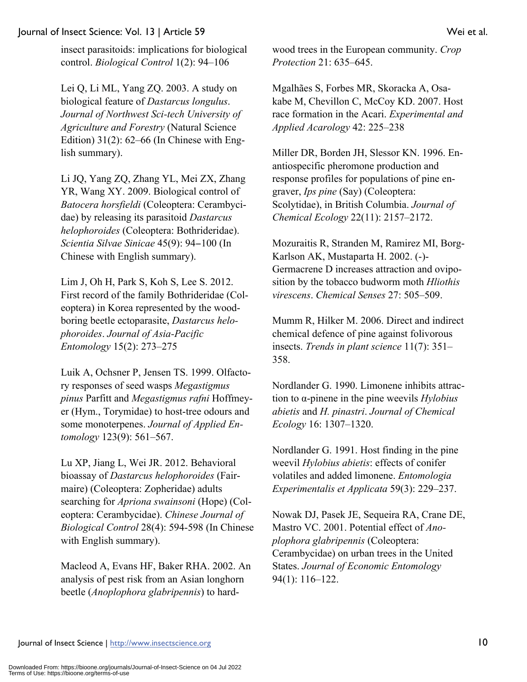insect parasitoids: implications for biological control. *Biological Control* 1(2): 94–106

Lei Q, Li ML, Yang ZQ. 2003. A study on biological feature of *Dastarcus longulus*. *Journal of Northwest Sci-tech University of Agriculture and Forestry* (Natural Science Edition) 31(2): 62–66 (In Chinese with English summary).

Li JQ, Yang ZQ, Zhang YL, Mei ZX, Zhang YR, Wang XY. 2009. Biological control of *Batocera horsfieldi* (Coleoptera: Cerambycidae) by releasing its parasitoid *Dastarcus helophoroides* (Coleoptera: Bothrideridae). *Scientia Silvae Sinicae* 45(9): 94−100 (In Chinese with English summary).

Lim J, Oh H, Park S, Koh S, Lee S. 2012. First record of the family Bothrideridae (Coleoptera) in Korea represented by the woodboring beetle ectoparasite, *Dastarcus helophoroides*. *Journal of Asia-Pacific Entomology* 15(2): 273–275

Luik A, Ochsner P, Jensen TS. 1999. Olfactory responses of seed wasps *Megastigmus pinus* Parfitt and *Megastigmus rafni* Hoffmeyer (Hym., Torymidae) to host-tree odours and some monoterpenes. *Journal of Applied Entomology* 123(9): 561–567.

Lu XP, Jiang L, Wei JR. 2012. Behavioral bioassay of *Dastarcus helophoroides* (Fairmaire) (Coleoptera: Zopheridae) adults searching for *Apriona swainsoni* (Hope) (Coleoptera: Cerambycidae). *Chinese Journal of Biological Control* 28(4): 594-598 (In Chinese with English summary).

Macleod A, Evans HF, Baker RHA. 2002. An analysis of pest risk from an Asian longhorn beetle (*Anoplophora glabripennis*) to hardwood trees in the European community. *Crop Protection* 21: 635–645.

Mgalhães S, Forbes MR, Skoracka A, Osakabe M, Chevillon C, McCoy KD. 2007. Host race formation in the Acari. *Experimental and Applied Acarology* 42: 225–238

Miller DR, Borden JH, Slessor KN. 1996. Enantiospecific pheromone production and response profiles for populations of pine engraver, *Ips pine* (Say) (Coleoptera: Scolytidae), in British Columbia. *Journal of Chemical Ecology* 22(11): 2157–2172.

Mozuraitis R, Stranden M, Ramirez MI, Borg-Karlson AK, Mustaparta H. 2002. (-)- Germacrene D increases attraction and oviposition by the tobacco budworm moth *Hliothis virescens*. *Chemical Senses* 27: 505–509.

Mumm R, Hilker M. 2006. Direct and indirect chemical defence of pine against folivorous insects. *Trends in plant science* 11(7): 351– 358.

Nordlander G. 1990. Limonene inhibits attraction to α-pinene in the pine weevils *Hylobius abietis* and *H. pinastri*. *Journal of Chemical Ecology* 16: 1307–1320.

Nordlander G. 1991. Host finding in the pine weevil *Hylobius abietis*: effects of conifer volatiles and added limonene. *Entomologia Experimentalis et Applicata* 59(3): 229–237.

Nowak DJ, Pasek JE, Sequeira RA, Crane DE, Mastro VC. 2001. Potential effect of *Anoplophora glabripennis* (Coleoptera: Cerambycidae) on urban trees in the United States. *Journal of Economic Entomology* 94(1): 116–122.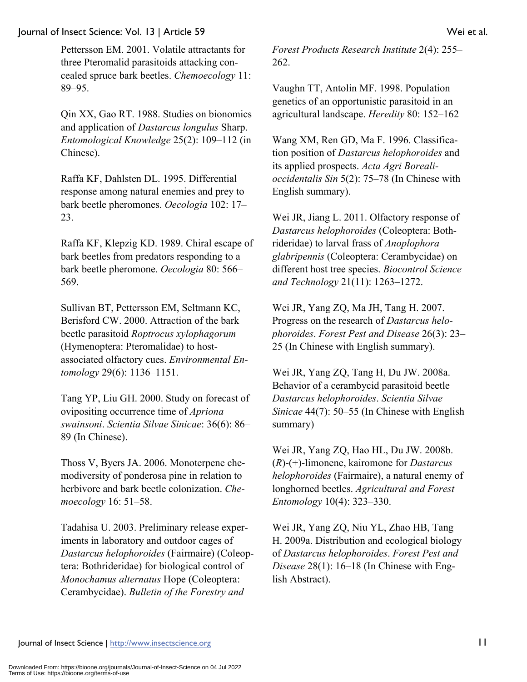Pettersson EM. 2001. Volatile attractants for three Pteromalid parasitoids attacking concealed spruce bark beetles. *Chemoecology* 11: 89–95.

Qin XX, Gao RT. 1988. Studies on bionomics and application of *Dastarcus longulus* Sharp. *Entomological Knowledge* 25(2): 109–112 (in Chinese).

Raffa KF, Dahlsten DL. 1995. Differential response among natural enemies and prey to bark beetle pheromones. *Oecologia* 102: 17– 23.

Raffa KF, Klepzig KD. 1989. Chiral escape of bark beetles from predators responding to a bark beetle pheromone. *Oecologia* 80: 566– 569.

Sullivan BT, Pettersson EM, Seltmann KC, Berisford CW. 2000. Attraction of the bark beetle parasitoid *Roptrocus xylophagorum* (Hymenoptera: Pteromalidae) to hostassociated olfactory cues. *Environmental Entomology* 29(6): 1136–1151.

Tang YP, Liu GH. 2000. Study on forecast of ovipositing occurrence time of *Apriona swainsoni*. *Scientia Silvae Sinicae*: 36(6): 86– 89 (In Chinese).

Thoss V, Byers JA. 2006. Monoterpene chemodiversity of ponderosa pine in relation to herbivore and bark beetle colonization. *Chemoecology* 16: 51–58.

Tadahisa U. 2003. Preliminary release experiments in laboratory and outdoor cages of *Dastarcus helophoroides* (Fairmaire) (Coleoptera: Bothrideridae) for biological control of *Monochamus alternatus* Hope (Coleoptera: Cerambycidae). *Bulletin of the Forestry and* 

*Forest Products Research Institute* 2(4): 255– 262.

Vaughn TT, Antolin MF. 1998. Population genetics of an opportunistic parasitoid in an agricultural landscape. *Heredity* 80: 152–162

Wang XM, Ren GD, Ma F. 1996. Classification position of *Dastarcus helophoroides* and its applied prospects. *Acta Agri Borealioccidentalis Sin* 5(2): 75–78 (In Chinese with English summary).

Wei JR, Jiang L. 2011. Olfactory response of *Dastarcus helophoroides* (Coleoptera: Bothrideridae) to larval frass of *Anoplophora glabripennis* (Coleoptera: Cerambycidae) on different host tree species. *Biocontrol Science and Technology* 21(11): 1263–1272.

Wei JR, Yang ZQ, Ma JH, Tang H. 2007. Progress on the research of *Dastarcus helophoroides*. *Forest Pest and Disease* 26(3): 23– 25 (In Chinese with English summary).

Wei JR, Yang ZQ, Tang H, Du JW. 2008a. Behavior of a cerambycid parasitoid beetle *Dastarcus helophoroides*. *Scientia Silvae Sinicae* 44(7): 50–55 (In Chinese with English summary)

Wei JR, Yang ZQ, Hao HL, Du JW. 2008b. (*R*)-(+)-limonene, kairomone for *Dastarcus helophoroides* (Fairmaire), a natural enemy of longhorned beetles. *Agricultural and Forest Entomology* 10(4): 323–330.

Wei JR, Yang ZQ, Niu YL, Zhao HB, Tang H. 2009a. Distribution and ecological biology of *Dastarcus helophoroides*. *Forest Pest and Disease* 28(1): 16–18 (In Chinese with English Abstract).